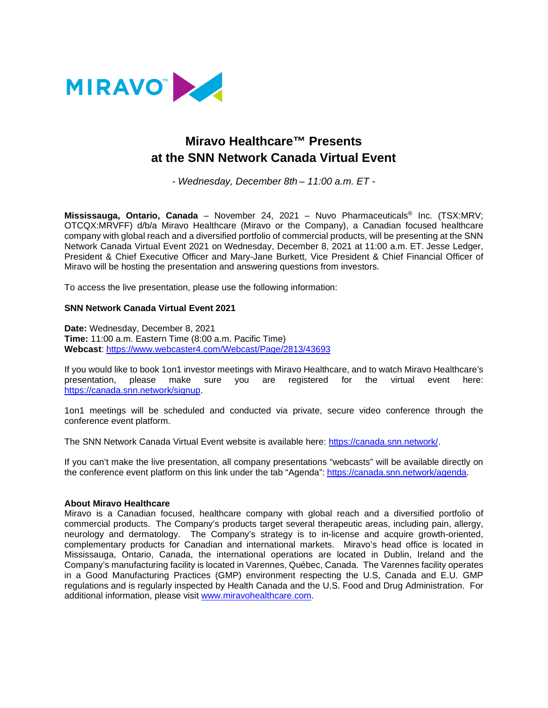

# **Miravo Healthcare™ Presents at the SNN Network Canada Virtual Event**

*- Wednesday, December 8th – 11:00 a.m. ET* -

**Mississauga, Ontario, Canada** – November 24, 2021 – Nuvo Pharmaceuticals® Inc. (TSX:MRV; OTCQX:MRVFF) d/b/a Miravo Healthcare (Miravo or the Company), a Canadian focused healthcare company with global reach and a diversified portfolio of commercial products, will be presenting at the SNN Network Canada Virtual Event 2021 on Wednesday, December 8, 2021 at 11:00 a.m. ET. Jesse Ledger, President & Chief Executive Officer and Mary-Jane Burkett, Vice President & Chief Financial Officer of Miravo will be hosting the presentation and answering questions from investors.

To access the live presentation, please use the following information:

#### **SNN Network Canada Virtual Event 2021**

**Date:** Wednesday, December 8, 2021 **Time:** 11:00 a.m. Eastern Time (8:00 a.m. Pacific Time) **Webcast**[: https://www.webcaster4.com/Webcast/Page/2813/43693](https://can01.safelinks.protection.outlook.com/?url=https%3A%2F%2Fwww.webcaster4.com%2FWebcast%2FPage%2F2813%2F43693&data=04%7C01%7Clriley%40miravohealth.com%7Cab41cceb13f3422306f208d9a60e3373%7Ca24e7f7409804ee1846c225e0121232a%7C0%7C0%7C637723403359835896%7CUnknown%7CTWFpbGZsb3d8eyJWIjoiMC4wLjAwMDAiLCJQIjoiV2luMzIiLCJBTiI6Ik1haWwiLCJXVCI6Mn0%3D%7C2000&sdata=wIYchjd%2BLQuNGEkScMlz53744wvqLRcTrZFLjmNtAYA%3D&reserved=0)

If you would like to book 1on1 investor meetings with Miravo Healthcare, and to watch Miravo Healthcare's presentation, please make sure you are registered for the virtual event here: [https://canada.snn.network/signup.](https://canada.snn.network/signup)

1on1 meetings will be scheduled and conducted via private, secure video conference through the conference event platform.

The SNN Network Canada Virtual Event website is available here: [https://canada.snn.network/.](https://canada.snn.network/)

If you can't make the live presentation, all company presentations "webcasts" will be available directly on the conference event platform on this link under the tab "Agenda": [https://canada.snn.network/agenda.](https://canada.snn.network/agenda)

#### **About Miravo Healthcare**

Miravo is a Canadian focused, healthcare company with global reach and a diversified portfolio of commercial products. The Company's products target several therapeutic areas, including pain, allergy, neurology and dermatology. The Company's strategy is to in-license and acquire growth-oriented, complementary products for Canadian and international markets. Miravo's head office is located in Mississauga, Ontario, Canada, the international operations are located in Dublin, Ireland and the Company's manufacturing facility is located in Varennes, Québec, Canada. The Varennes facility operates in a Good Manufacturing Practices (GMP) environment respecting the U.S, Canada and E.U. GMP regulations and is regularly inspected by Health Canada and the U.S. Food and Drug Administration. For additional information, please visit [www.miravohealthcare.com.](http://www.miravohealthcare.com/)